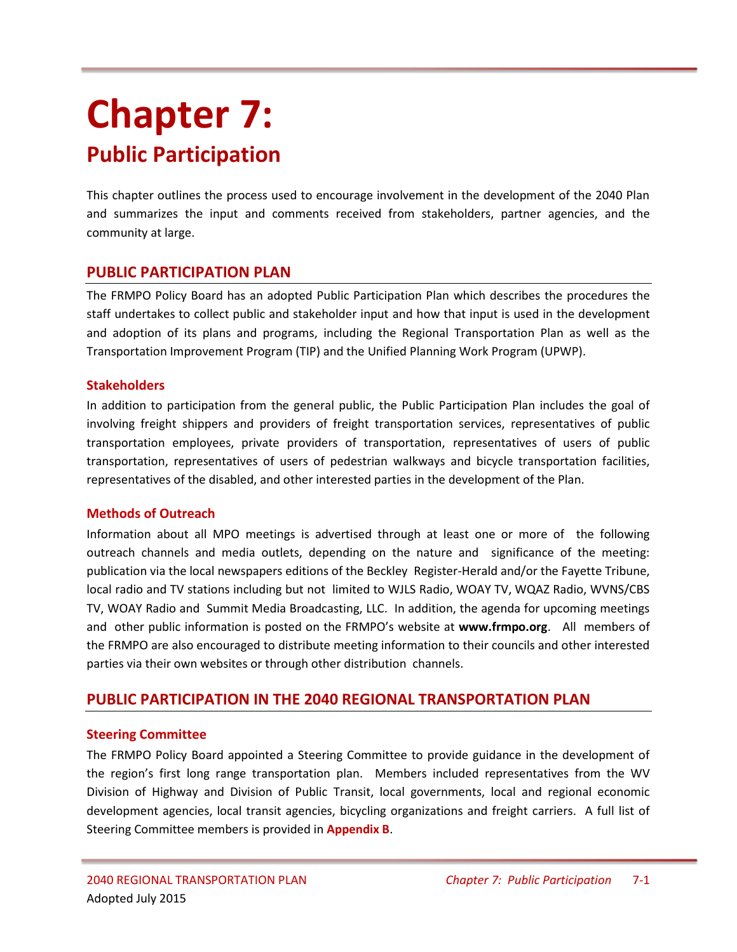# **Chapter 7: Public Participation**

This chapter outlines the process used to encourage involvement in the development of the 2040 Plan and summarizes the input and comments received from stakeholders, partner agencies, and the community at large.

## **PUBLIC PARTICIPATION PLAN**

The FRMPO Policy Board has an adopted Public Participation Plan which describes the procedures the staff undertakes to collect public and stakeholder input and how that input is used in the development and adoption of its plans and programs, including the Regional Transportation Plan as well as the Transportation Improvement Program (TIP) and the Unified Planning Work Program (UPWP).

### **Stakeholders**

In addition to participation from the general public, the Public Participation Plan includes the goal of involving freight shippers and providers of freight transportation services, representatives of public transportation employees, private providers of transportation, representatives of users of public transportation, representatives of users of pedestrian walkways and bicycle transportation facilities, representatives of the disabled, and other interested parties in the development of the Plan.

#### **Methods of Outreach**

Information about all MPO meetings is advertised through at least one or more of the following outreach channels and media outlets, depending on the nature and significance of the meeting: publication via the local newspapers editions of the Beckley Register-Herald and/or the Fayette Tribune, local radio and TV stations including but not limited to WJLS Radio, WOAY TV, WQAZ Radio, WVNS/CBS TV, WOAY Radio and Summit Media Broadcasting, LLC. In addition, the agenda for upcoming meetings and other public information is posted on the FRMPO's website at **www.frmpo.org**. All members of the FRMPO are also encouraged to distribute meeting information to their councils and other interested parties via their own websites or through other distribution channels.

# **PUBLIC PARTICIPATION IN THE 2040 REGIONAL TRANSPORTATION PLAN**

## **Steering Committee**

The FRMPO Policy Board appointed a Steering Committee to provide guidance in the development of the region's first long range transportation plan. Members included representatives from the WV Division of Highway and Division of Public Transit, local governments, local and regional economic development agencies, local transit agencies, bicycling organizations and freight carriers. A full list of Steering Committee members is provided in **Appendix B**.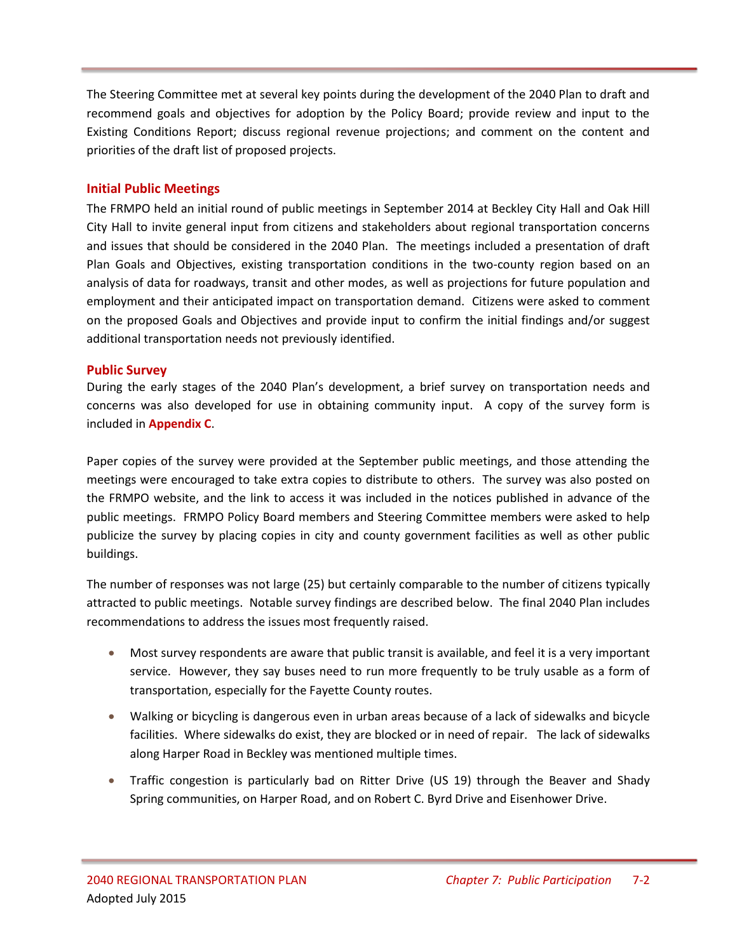The Steering Committee met at several key points during the development of the 2040 Plan to draft and recommend goals and objectives for adoption by the Policy Board; provide review and input to the Existing Conditions Report; discuss regional revenue projections; and comment on the content and priorities of the draft list of proposed projects.

## **Initial Public Meetings**

The FRMPO held an initial round of public meetings in September 2014 at Beckley City Hall and Oak Hill City Hall to invite general input from citizens and stakeholders about regional transportation concerns and issues that should be considered in the 2040 Plan. The meetings included a presentation of draft Plan Goals and Objectives, existing transportation conditions in the two-county region based on an analysis of data for roadways, transit and other modes, as well as projections for future population and employment and their anticipated impact on transportation demand. Citizens were asked to comment on the proposed Goals and Objectives and provide input to confirm the initial findings and/or suggest additional transportation needs not previously identified.

### **Public Survey**

During the early stages of the 2040 Plan's development, a brief survey on transportation needs and concerns was also developed for use in obtaining community input. A copy of the survey form is included in **Appendix C**.

Paper copies of the survey were provided at the September public meetings, and those attending the meetings were encouraged to take extra copies to distribute to others. The survey was also posted on the FRMPO website, and the link to access it was included in the notices published in advance of the public meetings. FRMPO Policy Board members and Steering Committee members were asked to help publicize the survey by placing copies in city and county government facilities as well as other public buildings.

The number of responses was not large (25) but certainly comparable to the number of citizens typically attracted to public meetings. Notable survey findings are described below. The final 2040 Plan includes recommendations to address the issues most frequently raised.

- Most survey respondents are aware that public transit is available, and feel it is a very important service. However, they say buses need to run more frequently to be truly usable as a form of transportation, especially for the Fayette County routes.
- Walking or bicycling is dangerous even in urban areas because of a lack of sidewalks and bicycle facilities. Where sidewalks do exist, they are blocked or in need of repair. The lack of sidewalks along Harper Road in Beckley was mentioned multiple times.
- Traffic congestion is particularly bad on Ritter Drive (US 19) through the Beaver and Shady Spring communities, on Harper Road, and on Robert C. Byrd Drive and Eisenhower Drive.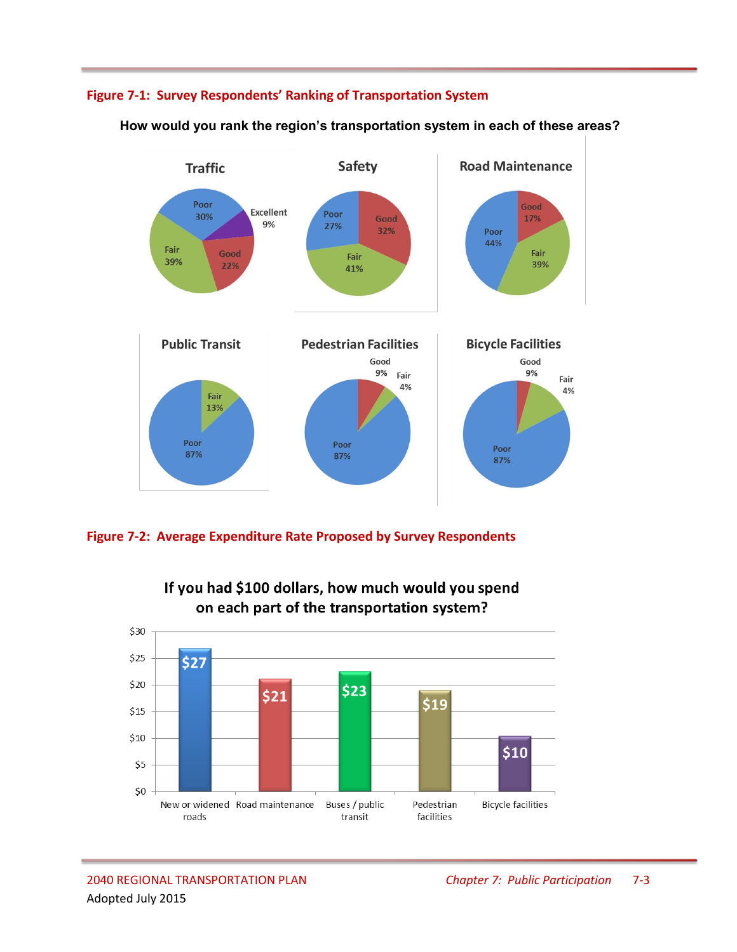# **Figure 7-1: Survey Respondents' Ranking of Transportation System**



 **How would you rank the region's transportation system in each of these areas?**





If you had \$100 dollars, how much would you spend on each part of the transportation system?